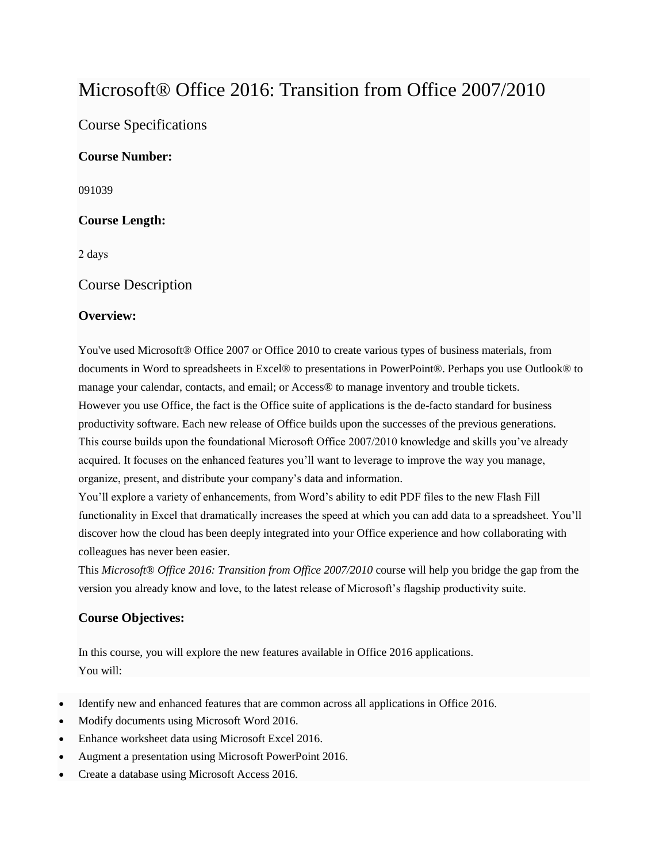# Microsoft<sup>®</sup> Office 2016: Transition from Office 2007/2010

Course Specifications

## **Course Number:**

091039

## **Course Length:**

2 days

Course Description

## **Overview:**

You've used Microsoft® Office 2007 or Office 2010 to create various types of business materials, from documents in Word to spreadsheets in Excel® to presentations in PowerPoint®. Perhaps you use Outlook® to manage your calendar, contacts, and email; or Access® to manage inventory and trouble tickets. However you use Office, the fact is the Office suite of applications is the de-facto standard for business productivity software. Each new release of Office builds upon the successes of the previous generations. This course builds upon the foundational Microsoft Office 2007/2010 knowledge and skills you've already acquired. It focuses on the enhanced features you'll want to leverage to improve the way you manage, organize, present, and distribute your company's data and information.

You'll explore a variety of enhancements, from Word's ability to edit PDF files to the new Flash Fill functionality in Excel that dramatically increases the speed at which you can add data to a spreadsheet. You'll discover how the cloud has been deeply integrated into your Office experience and how collaborating with colleagues has never been easier.

This *Microsoft® Office 2016: Transition from Office 2007/2010* course will help you bridge the gap from the version you already know and love, to the latest release of Microsoft's flagship productivity suite.

## **Course Objectives:**

In this course, you will explore the new features available in Office 2016 applications. You will:

- Identify new and enhanced features that are common across all applications in Office 2016.
- Modify documents using Microsoft Word 2016.
- Enhance worksheet data using Microsoft Excel 2016.
- Augment a presentation using Microsoft PowerPoint 2016.
- Create a database using Microsoft Access 2016.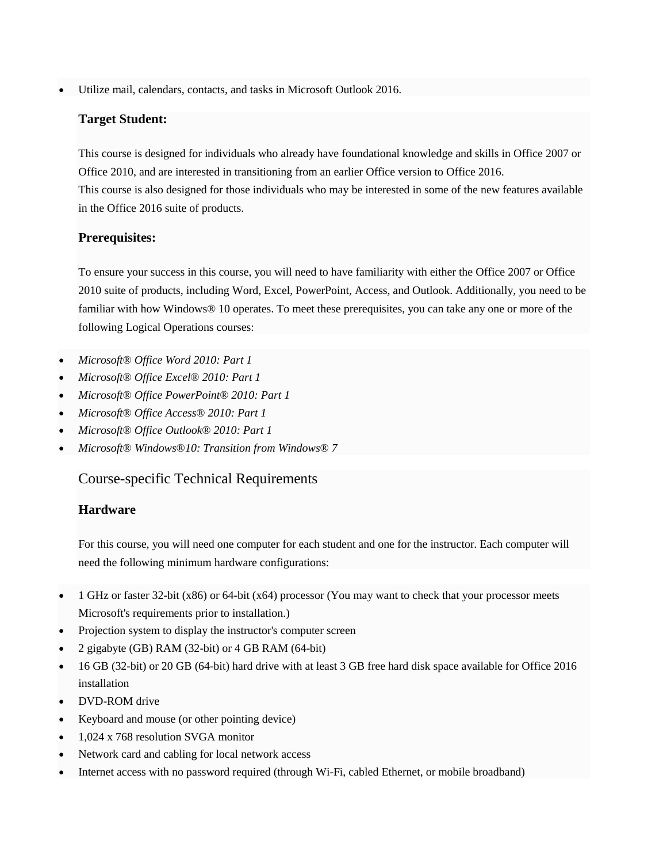Utilize mail, calendars, contacts, and tasks in Microsoft Outlook 2016.

#### **Target Student:**

This course is designed for individuals who already have foundational knowledge and skills in Office 2007 or Office 2010, and are interested in transitioning from an earlier Office version to Office 2016. This course is also designed for those individuals who may be interested in some of the new features available in the Office 2016 suite of products.

## **Prerequisites:**

To ensure your success in this course, you will need to have familiarity with either the Office 2007 or Office 2010 suite of products, including Word, Excel, PowerPoint, Access, and Outlook. Additionally, you need to be familiar with how Windows® 10 operates. To meet these prerequisites, you can take any one or more of the following Logical Operations courses:

- *Microsoft® Office Word 2010: Part 1*
- *Microsoft® Office Excel® 2010: Part 1*
- *Microsoft® Office PowerPoint® 2010: Part 1*
- *Microsoft® Office Access® 2010: Part 1*
- *Microsoft® Office Outlook® 2010: Part 1*
- *Microsoft® Windows®10: Transition from Windows® 7*

## Course-specific Technical Requirements

## **Hardware**

For this course, you will need one computer for each student and one for the instructor. Each computer will need the following minimum hardware configurations:

- 1 GHz or faster 32-bit (x86) or 64-bit (x64) processor (You may want to check that your processor meets Microsoft's requirements prior to installation.)
- Projection system to display the instructor's computer screen
- 2 gigabyte (GB) RAM (32-bit) or 4 GB RAM (64-bit)
- 16 GB (32-bit) or 20 GB (64-bit) hard drive with at least 3 GB free hard disk space available for Office 2016 installation
- DVD-ROM drive
- Keyboard and mouse (or other pointing device)
- 1,024 x 768 resolution SVGA monitor
- Network card and cabling for local network access
- Internet access with no password required (through Wi-Fi, cabled Ethernet, or mobile broadband)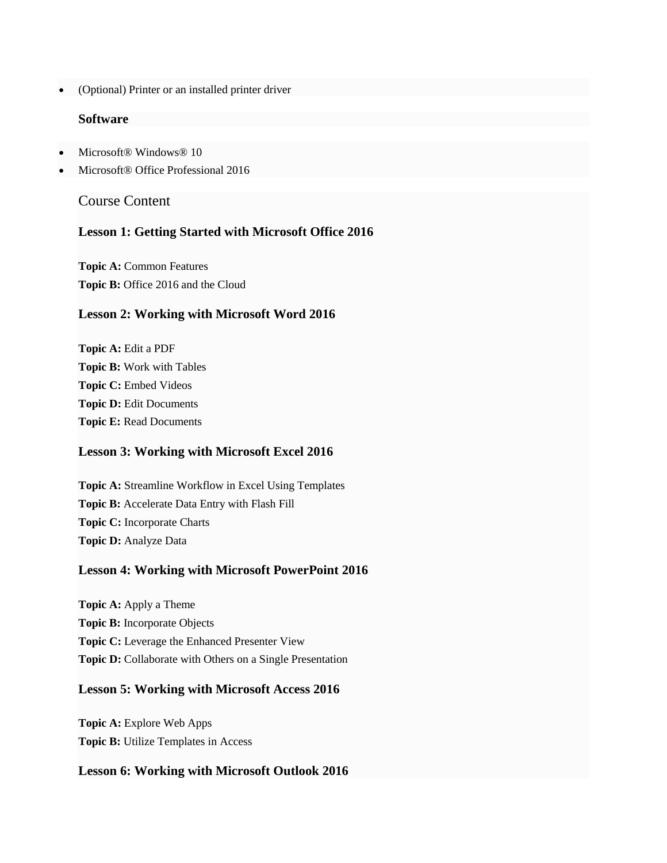(Optional) Printer or an installed printer driver

#### **Software**

- Microsoft® Windows® 10
- Microsoft® Office Professional 2016

## Course Content

#### **Lesson 1: Getting Started with Microsoft Office 2016**

**Topic A:** Common Features Topic B: Office 2016 and the Cloud

#### **Lesson 2: Working with Microsoft Word 2016**

**Topic A:** Edit a PDF **Topic B:** Work with Tables **Topic C:** Embed Videos **Topic D:** Edit Documents **Topic E:** Read Documents

#### **Lesson 3: Working with Microsoft Excel 2016**

**Topic A:** Streamline Workflow in Excel Using Templates **Topic B:** Accelerate Data Entry with Flash Fill **Topic C:** Incorporate Charts **Topic D:** Analyze Data

#### **Lesson 4: Working with Microsoft PowerPoint 2016**

**Topic A:** Apply a Theme **Topic B:** Incorporate Objects **Topic C:** Leverage the Enhanced Presenter View **Topic D:** Collaborate with Others on a Single Presentation

#### **Lesson 5: Working with Microsoft Access 2016**

**Topic A:** Explore Web Apps **Topic B:** Utilize Templates in Access

#### **Lesson 6: Working with Microsoft Outlook 2016**